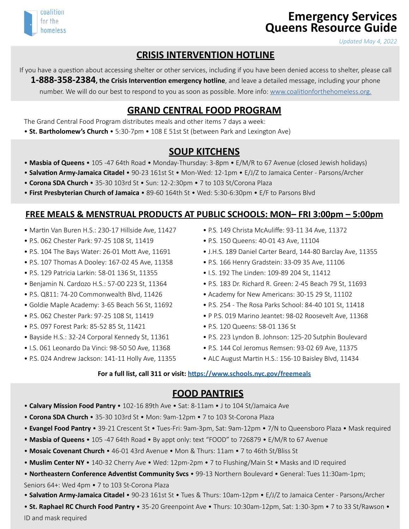

# **Emergency Services Queens Resource Guide**

*Updated May 4, 2022*

## **CRISIS INTERVENTION HOTLINE**

If you have a question about accessing shelter or other services, including if you have been denied access to shelter, please call **1-888-358-2384, the Crisis Intervention emergency hotline**, and leave a detailed message, including your phone number. We will do our best to respond to you as soon as possible. More info: [www.coalitionforthehomeless.org.](http://www.coalitionforthehomeless.org)

## **GRAND CENTRAL FOOD PROGRAM**

The Grand Central Food Program distributes meals and other items 7 days a week:

• **St. Bartholomew's Church** • 5:30-7pm • 108 E 51st St (between Park and Lexington Ave)

#### **SOUP KITCHENS**

- • **Masbia of Queens** 105 -47 64th Road Monday-Thursday: 3-8pm E/M/R to 67 Avenue (closed Jewish holidays)
- **Salvation Army-Jamaica Citadel** 90-23 161st St Mon-Wed: 12-1pm E/J/Z to Jamaica Center Parsons/Archer
- • **Corona SDA Church**  35-30 103rd St Sun: 12-2:30pm 7 to 103 St/Corona Plaza
- **First Presbyterian Church of Jamaica** 89-60 164th St Wed: 5:30-6:30pm E/F to Parsons Blvd

#### **FREE MEALS & MENSTRUAL PRODUCTS AT PUBLIC SCHOOLS: MON– FRI 3:00pm – 5:00pm**

- Martin Van Buren H.S.: 230-17 Hillside Ave, 11427
- P.S. 062 Chester Park: 97-25 108 St, 11419
- P.S. 104 The Bays Water: 26-01 Mott Ave, 11691
- P.S. 107 Thomas A Dooley: 167-02 45 Ave, 11358
- P.S. 129 Patricia Larkin: 58-01 136 St, 11355
- Benjamin N. Cardozo H.S.: 57-00 223 St, 11364
- P.S. Q811: 74-20 Commonwealth Blvd, 11426
- Goldie Maple Academy: 3-65 Beach 56 St, 11692
- P.S. 062 Chester Park: 97-25 108 St, 11419
- P.S. 097 Forest Park: 85-52 85 St, 11421
- Bayside H.S.: 32-24 Corporal Kennedy St, 11361
- I.S. 061 Leonardo Da Vinci: 98-50 50 Ave, 11368
- P.S. 024 Andrew Jackson: 141-11 Holly Ave, 11355
- P.S. 149 Christa McAuliffe: 93-11 34 Ave, 11372
- P.S. 150 Queens: 40-01 43 Ave, 11104
- J.H.S. 189 Daniel Carter Beard, 144-80 Barclay Ave, 11355
- P.S. 166 Henry Gradstein: 33-09 35 Ave, 11106
- I.S. 192 The Linden: 109-89 204 St, 11412
- P.S. 183 Dr. Richard R. Green: 2-45 Beach 79 St, 11693
- Academy for New Americans: 30-15 29 St, 11102
- P.S. 254 The Rosa Parks School: 84-40 101 St, 11418
- P P.S. 019 Marino Jeantet: 98-02 Roosevelt Ave, 11368
- P.S. 120 Queens: 58-01 136 St
- P.S. 223 Lyndon B. Johnson: 125-20 Sutphin Boulevard
- P.S. 144 Col Jeromus Remsen: 93-02 69 Ave, 11375
- ALC August Martin H.S.: 156-10 Baisley Blvd, 11434

#### **For a full list, call 311 or visit:<https://www.schools.nyc.gov/freemeals>**

#### **FOOD PANTRIES**

- **Calvary Mission Food Pantry** 102-16 89th Ave Sat: 8-11am J to 104 St/Jamaica Ave
- **Corona SDA Church** 35-30 103rd St Mon: 9am-12pm 7 to 103 St-Corona Plaza
- • **Evangel Food Pantry** 39-21 Crescent St Tues-Fri: 9am-3pm, Sat: 9am-12pm 7/N to Queensboro Plaza Mask required
- • **Masbia of Queens** 105 -47 64th Road By appt only: text "FOOD" to 726879 E/M/R to 67 Avenue
- **Mosaic Covenant Church**  46-01 43rd Avenue Mon & Thurs: 11am 7 to 46th St/Bliss St
- **Muslim Center NY**  140-32 Cherry Ave Wed: 12pm-2pm 7 to Flushing/Main St Masks and ID required
- **Northeastern Conference Adventist Community Svcs** 99-13 Northern Boulevard General: Tues 11:30am-1pm;

Seniors 64+: Wed 4pm • 7 to 103 St-Corona Plaza

• **Salvation Army-Jamaica Citadel** • 90-23 161st St • Tues & Thurs: 10am-12pm • E/J/Z to Jamaica Center - Parsons/Archer

• **St. Raphael RC Church Food Pantry** • 35-20 Greenpoint Ave • Thurs: 10:30am-12pm, Sat: 1:30-3pm • 7 to 33 St/Rawson • ID and mask required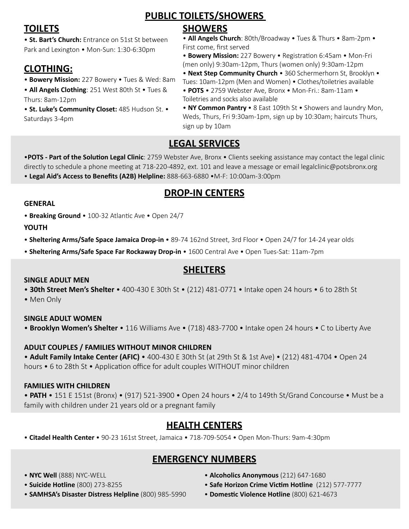**TOILETS**

• **St. Bart's Church:** Entrance on 51st St between Park and Lexington • Mon-Sun: 1:30-6:30pm

## **CLOTHING:**

- **Bowery Mission:** 227 Bowery Tues & Wed: 8am
- **All Angels Clothing**: 251 West 80th St Tues & Thurs: 8am-12pm

• **St. Luke's Community Closet:** 485 Hudson St. • Saturdays 3-4pm

## **PUBLIC TOILETS/SHOWERS**

## **SHOWERS**

• **All Angels Church**: 80th/Broadway • Tues & Thurs • 8am-2pm • First come, first served

• **Bowery Mission:** 227 Bowery • Registration 6:45am • Mon-Fri (men only) 9:30am-12pm, Thurs (women only) 9:30am-12pm

• **Next Step Community Church** • 360 Schermerhorn St, Brooklyn • Tues: 10am-12pm (Men and Women) • Clothes/toiletries available

- • **POTS**  2759 Webster Ave, Bronx Mon-Fri.: 8am-11am Toiletries and socks also available
- • **NY Common Pantry**  8 East 109th St Showers and laundry Mon, Weds, Thurs, Fri 9:30am-1pm, sign up by 10:30am; haircuts Thurs, sign up by 10am

## **LEGAL SERVICES**

•**POTS - Part of the Solution Legal Clinic**: 2759 Webster Ave, Bronx • Clients seeking assistance may contact the legal clinic directly to schedule a phone meeting at 718-220-4892, ext. 101 and leave a message or email legalclinic@potsbronx.org • **Legal Aid's Access to Benefits (A2B) Helpline:** 888-663-6880 •M-F: 10:00am-3:00pm

## **DROP-IN CENTERS**

#### **GENERAL**

• **Breaking Ground** • 100-32 Atlantic Ave • Open 24/7

**YOUTH**

• **Sheltering Arms/Safe Space Jamaica Drop-in** • 89-74 162nd Street, 3rd Floor • Open 24/7 for 14-24 year olds

• **Sheltering Arms/Safe Space Far Rockaway Drop-in** • 1600 Central Ave • Open Tues-Sat: 11am-7pm

## **SHELTERS**

#### **SINGLE ADULT MEN**

• **30th Street Men's Shelter** • 400-430 E 30th St • (212) 481-0771 • Intake open 24 hours • 6 to 28th St

• Men Only

**SINGLE ADULT WOMEN** • **Brooklyn Women's Shelter** • 116 Williams Ave • (718) 483-7700 • Intake open 24 hours • C to Liberty Ave

### **ADULT COUPLES / FAMILIES WITHOUT MINOR CHILDREN**

• **Adult Family Intake Center (AFIC)** • 400-430 E 30th St (at 29th St & 1st Ave) • (212) 481-4704 • Open 24 hours • 6 to 28th St • Application office for adult couples WITHOUT minor children

#### **FAMILIES WITH CHILDREN**

• **PATH** • 151 E 151st (Bronx) • (917) 521-3900 • Open 24 hours • 2/4 to 149th St/Grand Concourse • Must be a family with children under 21 years old or a pregnant family

## **HEALTH CENTERS**

• **Citadel Health Center** • 90-23 161st Street, Jamaica • 718-709-5054 • Open Mon-Thurs: 9am-4:30pm

## **EMERGENCY NUMBERS**

- **NYC Well** (888) NYC-WELL
- • **Suicide Hotline** (800) 273-8255
- **SAMHSA's Disaster Distress Helpline** (800) 985-5990
- **Alcoholics Anonymous** (212) 647-1680
- **Safe Horizon Crime Victim Hotline** (212) 577-7777
- **Domestic Violence Hotline** (800) 621-4673